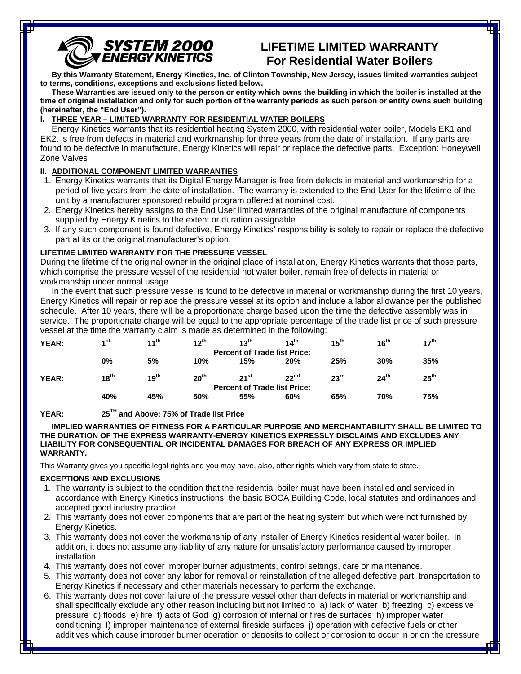# **SYSTEM 2000**<br>ENERGY KINETICS

# **LIFETIME LIMITED WARRANTY For Residential Water Boilers**

**By this Warranty Statement, Energy Kinetics, Inc. of Clinton Township, New Jersey, issues limited warranties subject to terms, conditions, exceptions and exclusions listed below.**

**These Warranties are issued only to the person or entity which owns the building in which the boiler is installed at the time of original installation and only for such portion of the warranty periods as such person or entity owns such building (hereinafter, the "End User").**

### **I. THREE YEAR – LIMITED WARRANTY FOR RESIDENTIAL WATER BOILERS**

Energy Kinetics warrants that its residential heating System 2000, with residential water boiler, Models EK1 and EK2, is free from defects in material and workmanship for three years from the date of installation. If any parts are found to be defective in manufacture, Energy Kinetics will repair or replace the defective parts. Exception: Honeywell Zone Valves

## **II. ADDITIONAL COMPONENT LIMITED WARRANTIES**

- 1. Energy Kinetics warrants that its Digital Energy Manager is free from defects in material and workmanship for a period of five years from the date of installation. The warranty is extended to the End User for the lifetime of the unit by a manufacturer sponsored rebuild program offered at nominal cost.
- 2. Energy Kinetics hereby assigns to the End User limited warranties of the original manufacture of components supplied by Energy Kinetics to the extent or duration assignable.
- 3. If any such component is found defective, Energy Kinetics' responsibility is solely to repair or replace the defective part at its or the original manufacturer's option.

#### **LIFETIME LIMITED WARRANTY FOR THE PRESSURE VESSEL**

During the lifetime of the original owner in the original place of installation, Energy Kinetics warrants that those parts, which comprise the pressure vessel of the residential hot water boiler, remain free of defects in material or workmanship under normal usage.

In the event that such pressure vessel is found to be defective in material or workmanship during the first 10 years, Energy Kinetics will repair or replace the pressure vessel at its option and include a labor allowance per the published schedule. After 10 years, there will be a proportionate charge based upon the time the defective assembly was in service. The proportionate charge will be equal to the appropriate percentage of the trade list price of such pressure vessel at the time the warranty claim is made as determined in the following:

| YEAR: | 4 <sup>st</sup>                     | $11^{th}$                           | $12^{th}$        | $12^{th}$ | 14 <sup>th</sup> | 15 <sup>th</sup> | 16 <sup>th</sup> | $17^{\text{th}}$ |  |
|-------|-------------------------------------|-------------------------------------|------------------|-----------|------------------|------------------|------------------|------------------|--|
|       |                                     | <b>Percent of Trade list Price:</b> |                  |           |                  |                  |                  |                  |  |
|       | 0%                                  | 5%                                  | 10%              | 15%       | 20%              | 25%              | 30%              | 35%              |  |
| YEAR: | 18 <sup>th</sup>                    | 19 <sup>th</sup>                    | 20 <sup>th</sup> | $21^{st}$ | 22 <sup>nd</sup> | 23 <sup>rd</sup> | 24 <sup>th</sup> | $25^{\text{th}}$ |  |
|       | <b>Percent of Trade list Price:</b> |                                     |                  |           |                  |                  |                  |                  |  |
|       | 40%                                 | 45%                                 | 50%              | 55%       | 60%              | 65%              | 70%              | 75%              |  |

**YEAR: 25TH and Above: 75% of Trade list Price**

**IMPLIED WARRANTIES OF FITNESS FOR A PARTICULAR PURPOSE AND MERCHANTABILITY SHALL BE LIMITED TO THE DURATION OF THE EXPRESS WARRANTY-ENERGY KINETICS EXPRESSLY DISCLAIMS AND EXCLUDES ANY LIABILITY FOR CONSEQUENTIAL OR INCIDENTAL DAMAGES FOR BREACH OF ANY EXPRESS OR IMPLIED WARRANTY.**

This Warranty gives you specific legal rights and you may have, also, other rights which vary from state to state.

#### **EXCEPTIONS AND EXCLUSIONS**

vessel.

- 1. The warranty is subject to the condition that the residential boiler must have been installed and serviced in accordance with Energy Kinetics instructions, the basic BOCA Building Code, local statutes and ordinances and accepted good industry practice.
- 2. This warranty does not cover components that are part of the heating system but which were not furnished by Energy Kinetics.
- 3. This warranty does not cover the workmanship of any installer of Energy Kinetics residential water boiler. In addition, it does not assume any liability of any nature for unsatisfactory performance caused by improper installation.
- 4. This warranty does not cover improper burner adjustments, control settings, care or maintenance.
- 5. This warranty does not cover any labor for removal or reinstallation of the alleged defective part, transportation to Energy Kinetics if necessary and other materials necessary to perform the exchange.
- additives which cause improper burner operation or deposits to collect or corrosion to occur in or on the pressure 6. This warranty does not cover failure of the pressure vessel other than defects in material or workmanship and shall specifically exclude any other reason including but not limited to a) lack of water b) freezing c) excessive pressure d) floods e) fire f) acts of God g) corrosion of internal or fireside surfaces h) improper water conditioning I) improper maintenance of external fireside surfaces j) operation with defective fuels or other